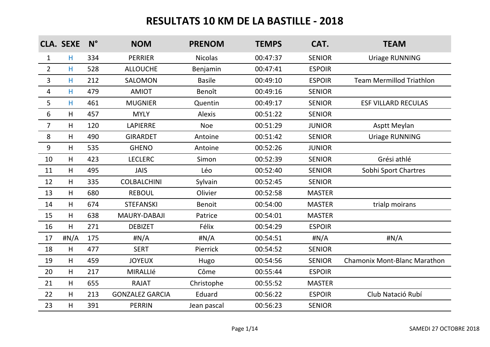|                | <b>CLA. SEXE</b> | $N^{\circ}$ | <b>NOM</b>             | <b>PRENOM</b>  | <b>TEMPS</b> | CAT.          | <b>TEAM</b>                     |
|----------------|------------------|-------------|------------------------|----------------|--------------|---------------|---------------------------------|
| $\mathbf{1}$   | H                | 334         | <b>PERRIER</b>         | <b>Nicolas</b> | 00:47:37     | <b>SENIOR</b> | <b>Uriage RUNNING</b>           |
| $\overline{2}$ | H.               | 528         | <b>ALLOUCHE</b>        | Benjamin       | 00:47:41     | <b>ESPOIR</b> |                                 |
| $\overline{3}$ | H.               | 212         | <b>SALOMON</b>         | <b>Basile</b>  | 00:49:10     | <b>ESPOIR</b> | <b>Team Mermillod Triathlon</b> |
| $\overline{4}$ | H.               | 479         | <b>AMIOT</b>           | Benoît         | 00:49:16     | <b>SENIOR</b> |                                 |
| 5              | H.               | 461         | <b>MUGNIER</b>         | Quentin        | 00:49:17     | <b>SENIOR</b> | <b>ESF VILLARD RECULAS</b>      |
| 6              | H                | 457         | <b>MYLY</b>            | <b>Alexis</b>  | 00:51:22     | <b>SENIOR</b> |                                 |
| $\overline{7}$ | H                | 120         | <b>LAPIERRE</b>        | Noe            | 00:51:29     | <b>JUNIOR</b> | <b>Asptt Meylan</b>             |
| 8              | H.               | 490         | <b>GIRARDET</b>        | Antoine        | 00:51:42     | <b>SENIOR</b> | <b>Uriage RUNNING</b>           |
| 9              | H.               | 535         | <b>GHENO</b>           | Antoine        | 00:52:26     | <b>JUNIOR</b> |                                 |
| 10             | H.               | 423         | <b>LECLERC</b>         | Simon          | 00:52:39     | <b>SENIOR</b> | Grési athlé                     |
| 11             | H.               | 495         | <b>JAIS</b>            | Léo            | 00:52:40     | <b>SENIOR</b> | Sobhi Sport Chartres            |
| 12             | H.               | 335         | <b>COLBALCHINI</b>     | Sylvain        | 00:52:45     | <b>SENIOR</b> |                                 |
| 13             | H.               | 680         | <b>REBOUL</b>          | Olivier        | 00:52:58     | <b>MASTER</b> |                                 |
| 14             | H.               | 674         | <b>STEFANSKI</b>       | <b>Benoit</b>  | 00:54:00     | <b>MASTER</b> | trialp moirans                  |
| 15             | H.               | 638         | MAURY-DABAJI           | Patrice        | 00:54:01     | <b>MASTER</b> |                                 |
| 16             | H.               | 271         | <b>DEBIZET</b>         | Félix          | 00:54:29     | <b>ESPOIR</b> |                                 |
| 17             | H N/A            | 175         | #N/A                   | H N/A          | 00:54:51     | H N/A         | H N/A                           |
| 18             | H                | 477         | <b>SERT</b>            | Pierrick       | 00:54:52     | <b>SENIOR</b> |                                 |
| 19             | H                | 459         | <b>JOYEUX</b>          | Hugo           | 00:54:56     | <b>SENIOR</b> | Chamonix Mont-Blanc Marathon    |
| 20             | H                | 217         | MIRALLIé               | Côme           | 00:55:44     | <b>ESPOIR</b> |                                 |
| 21             | H                | 655         | <b>RAJAT</b>           | Christophe     | 00:55:52     | <b>MASTER</b> |                                 |
| 22             | H.               | 213         | <b>GONZALEZ GARCIA</b> | Eduard         | 00:56:22     | <b>ESPOIR</b> | Club Natació Rubí               |
| 23             | H                | 391         | <b>PERRIN</b>          | Jean pascal    | 00:56:23     | <b>SENIOR</b> |                                 |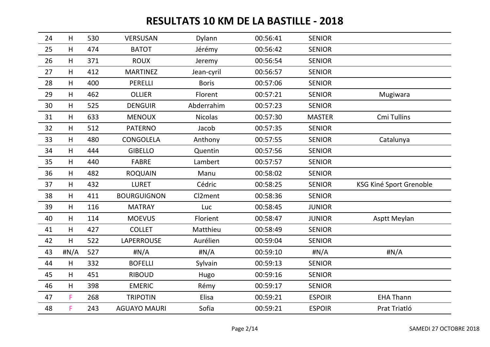| 24 | H     | 530 | <b>VERSUSAN</b>     | Dylann         | 00:56:41 | <b>SENIOR</b> |                         |
|----|-------|-----|---------------------|----------------|----------|---------------|-------------------------|
| 25 | H     | 474 | <b>BATOT</b>        | Jérémy         | 00:56:42 | <b>SENIOR</b> |                         |
| 26 | H     | 371 | <b>ROUX</b>         | Jeremy         | 00:56:54 | <b>SENIOR</b> |                         |
| 27 | H     | 412 | <b>MARTINEZ</b>     | Jean-cyril     | 00:56:57 | <b>SENIOR</b> |                         |
| 28 | H     | 400 | <b>PERELLI</b>      | <b>Boris</b>   | 00:57:06 | <b>SENIOR</b> |                         |
| 29 | H     | 462 | <b>OLLIER</b>       | Florent        | 00:57:21 | <b>SENIOR</b> | Mugiwara                |
| 30 | H     | 525 | <b>DENGUIR</b>      | Abderrahim     | 00:57:23 | <b>SENIOR</b> |                         |
| 31 | H     | 633 | <b>MENOUX</b>       | <b>Nicolas</b> | 00:57:30 | <b>MASTER</b> | Cmi Tullins             |
| 32 | H     | 512 | <b>PATERNO</b>      | Jacob          | 00:57:35 | <b>SENIOR</b> |                         |
| 33 | H     | 480 | CONGOLELA           | Anthony        | 00:57:55 | <b>SENIOR</b> | Catalunya               |
| 34 | H     | 444 | <b>GIBELLO</b>      | Quentin        | 00:57:56 | <b>SENIOR</b> |                         |
| 35 | H     | 440 | <b>FABRE</b>        | Lambert        | 00:57:57 | <b>SENIOR</b> |                         |
| 36 | H     | 482 | <b>ROQUAIN</b>      | Manu           | 00:58:02 | <b>SENIOR</b> |                         |
| 37 | H     | 432 | <b>LURET</b>        | Cédric         | 00:58:25 | <b>SENIOR</b> | KSG Kiné Sport Grenoble |
| 38 | H     | 411 | <b>BOURGUIGNON</b>  | Cl2ment        | 00:58:36 | <b>SENIOR</b> |                         |
| 39 | H     | 116 | <b>MATRAY</b>       | Luc            | 00:58:45 | <b>JUNIOR</b> |                         |
| 40 | H     | 114 | <b>MOEVUS</b>       | Florient       | 00:58:47 | <b>JUNIOR</b> | Asptt Meylan            |
| 41 | H     | 427 | <b>COLLET</b>       | Matthieu       | 00:58:49 | <b>SENIOR</b> |                         |
| 42 | H     | 522 | <b>LAPERROUSE</b>   | Aurélien       | 00:59:04 | <b>SENIOR</b> |                         |
| 43 | H N/A | 527 | #N/A                | #N/A           | 00:59:10 | $\sharp N/A$  | $\sharp N/A$            |
| 44 | H     | 332 | <b>BOFELLI</b>      | Sylvain        | 00:59:13 | <b>SENIOR</b> |                         |
| 45 | H     | 451 | <b>RIBOUD</b>       | Hugo           | 00:59:16 | <b>SENIOR</b> |                         |
| 46 | H     | 398 | <b>EMERIC</b>       | Rémy           | 00:59:17 | <b>SENIOR</b> |                         |
| 47 | F     | 268 | <b>TRIPOTIN</b>     | Elisa          | 00:59:21 | <b>ESPOIR</b> | <b>EHA Thann</b>        |
| 48 | F     | 243 | <b>AGUAYO MAURI</b> | Sofia          | 00:59:21 | <b>ESPOIR</b> | Prat Triatló            |
|    |       |     |                     |                |          |               |                         |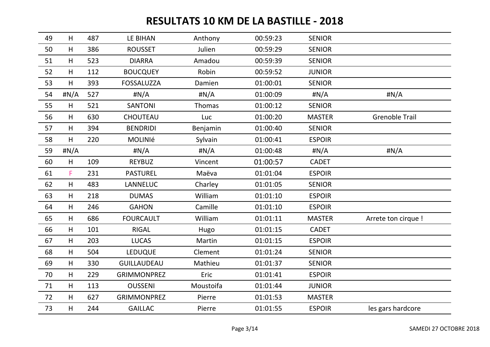| 49 | H     | 487 | <b>LE BIHAN</b>    | Anthony   | 00:59:23 | <b>SENIOR</b> |                       |
|----|-------|-----|--------------------|-----------|----------|---------------|-----------------------|
| 50 | H     | 386 | <b>ROUSSET</b>     | Julien    | 00:59:29 | <b>SENIOR</b> |                       |
| 51 | H     | 523 | <b>DIARRA</b>      | Amadou    | 00:59:39 | <b>SENIOR</b> |                       |
| 52 | H     | 112 | <b>BOUCQUEY</b>    | Robin     | 00:59:52 | <b>JUNIOR</b> |                       |
| 53 | H     | 393 | <b>FOSSALUZZA</b>  | Damien    | 01:00:01 | <b>SENIOR</b> |                       |
| 54 | #N/A  | 527 | #N/A               | #N/A      | 01:00:09 | H N/A         | $\sharp N/A$          |
| 55 | H     | 521 | <b>SANTONI</b>     | Thomas    | 01:00:12 | <b>SENIOR</b> |                       |
| 56 | H     | 630 | CHOUTEAU           | Luc       | 01:00:20 | <b>MASTER</b> | <b>Grenoble Trail</b> |
| 57 | H     | 394 | <b>BENDRIDI</b>    | Benjamin  | 01:00:40 | <b>SENIOR</b> |                       |
| 58 | H     | 220 | <b>MOLINIÉ</b>     | Sylvain   | 01:00:41 | <b>ESPOIR</b> |                       |
| 59 | H N/A |     | #N/A               | #N/A      | 01:00:48 | H N/A         | H N/A                 |
| 60 | H     | 109 | <b>REYBUZ</b>      | Vincent   | 01:00:57 | <b>CADET</b>  |                       |
| 61 | F     | 231 | <b>PASTUREL</b>    | Maëva     | 01:01:04 | <b>ESPOIR</b> |                       |
| 62 | H     | 483 | LANNELUC           | Charley   | 01:01:05 | <b>SENIOR</b> |                       |
| 63 | H     | 218 | <b>DUMAS</b>       | William   | 01:01:10 | <b>ESPOIR</b> |                       |
| 64 | H     | 246 | <b>GAHON</b>       | Camille   | 01:01:10 | <b>ESPOIR</b> |                       |
| 65 | H     | 686 | <b>FOURCAULT</b>   | William   | 01:01:11 | <b>MASTER</b> | Arrete ton cirque !   |
| 66 | H     | 101 | <b>RIGAL</b>       | Hugo      | 01:01:15 | <b>CADET</b>  |                       |
| 67 | H     | 203 | <b>LUCAS</b>       | Martin    | 01:01:15 | <b>ESPOIR</b> |                       |
| 68 | H     | 504 | <b>LEDUQUE</b>     | Clement   | 01:01:24 | <b>SENIOR</b> |                       |
| 69 | H     | 330 | <b>GUILLAUDEAU</b> | Mathieu   | 01:01:37 | <b>SENIOR</b> |                       |
| 70 | H     | 229 | <b>GRIMMONPREZ</b> | Eric      | 01:01:41 | <b>ESPOIR</b> |                       |
| 71 | H     | 113 | <b>OUSSENI</b>     | Moustoifa | 01:01:44 | <b>JUNIOR</b> |                       |
| 72 | H     | 627 | <b>GRIMMONPREZ</b> | Pierre    | 01:01:53 | <b>MASTER</b> |                       |
| 73 | H     | 244 | <b>GAILLAC</b>     | Pierre    | 01:01:55 | <b>ESPOIR</b> | les gars hardcore     |
|    |       |     |                    |           |          |               |                       |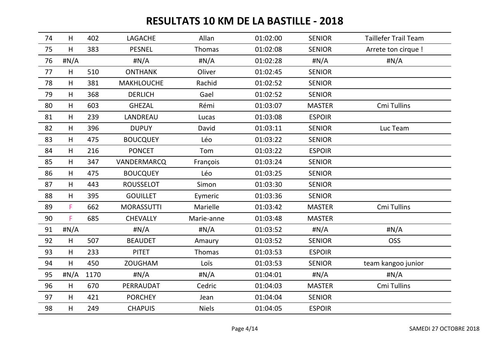| 74 | H     | 402  | LAGACHE           | Allan        | 01:02:00 | <b>SENIOR</b> | <b>Taillefer Trail Team</b> |
|----|-------|------|-------------------|--------------|----------|---------------|-----------------------------|
| 75 | H     | 383  | <b>PESNEL</b>     | Thomas       | 01:02:08 | <b>SENIOR</b> | Arrete ton cirque !         |
| 76 | H N/A |      | H N/A             | H N/A        | 01:02:28 | H N/A         | #N/A                        |
| 77 | H     | 510  | <b>ONTHANK</b>    | Oliver       | 01:02:45 | <b>SENIOR</b> |                             |
| 78 | H     | 381  | <b>MAKHLOUCHE</b> | Rachid       | 01:02:52 | <b>SENIOR</b> |                             |
| 79 | H     | 368  | <b>DERLICH</b>    | Gael         | 01:02:52 | <b>SENIOR</b> |                             |
| 80 | H     | 603  | <b>GHEZAL</b>     | Rémi         | 01:03:07 | <b>MASTER</b> | Cmi Tullins                 |
| 81 | H     | 239  | LANDREAU          | Lucas        | 01:03:08 | <b>ESPOIR</b> |                             |
| 82 | H     | 396  | <b>DUPUY</b>      | David        | 01:03:11 | <b>SENIOR</b> | Luc Team                    |
| 83 | H     | 475  | <b>BOUCQUEY</b>   | Léo          | 01:03:22 | <b>SENIOR</b> |                             |
| 84 | H     | 216  | <b>PONCET</b>     | Tom          | 01:03:22 | <b>ESPOIR</b> |                             |
| 85 | H     | 347  | VANDERMARCQ       | François     | 01:03:24 | <b>SENIOR</b> |                             |
| 86 | H     | 475  | <b>BOUCQUEY</b>   | Léo          | 01:03:25 | <b>SENIOR</b> |                             |
| 87 | H     | 443  | <b>ROUSSELOT</b>  | Simon        | 01:03:30 | <b>SENIOR</b> |                             |
| 88 | H     | 395  | <b>GOUILLET</b>   | Eymeric      | 01:03:36 | <b>SENIOR</b> |                             |
| 89 | F.    | 662  | <b>MORASSUTTI</b> | Marielle     | 01:03:42 | <b>MASTER</b> | Cmi Tullins                 |
| 90 | F     | 685  | <b>CHEVALLY</b>   | Marie-anne   | 01:03:48 | <b>MASTER</b> |                             |
| 91 | H N/A |      | $\sharp N/A$      | $\sharp N/A$ | 01:03:52 | $\sharp N/A$  | $\sharp N/A$                |
| 92 | H     | 507  | <b>BEAUDET</b>    | Amaury       | 01:03:52 | <b>SENIOR</b> | <b>OSS</b>                  |
| 93 | H     | 233  | <b>PITET</b>      | Thomas       | 01:03:53 | <b>ESPOIR</b> |                             |
| 94 | H     | 450  | <b>ZOUGHAM</b>    | Loïs         | 01:03:53 | <b>SENIOR</b> | team kangoo junior          |
| 95 | H N/A | 1170 | #N/A              | $\sharp N/A$ | 01:04:01 | #N/A          | #N/A                        |
| 96 | H     | 670  | PERRAUDAT         | Cedric       | 01:04:03 | <b>MASTER</b> | Cmi Tullins                 |
| 97 | H     | 421  | <b>PORCHEY</b>    | Jean         | 01:04:04 | <b>SENIOR</b> |                             |
| 98 | H     | 249  | <b>CHAPUIS</b>    | <b>Niels</b> | 01:04:05 | <b>ESPOIR</b> |                             |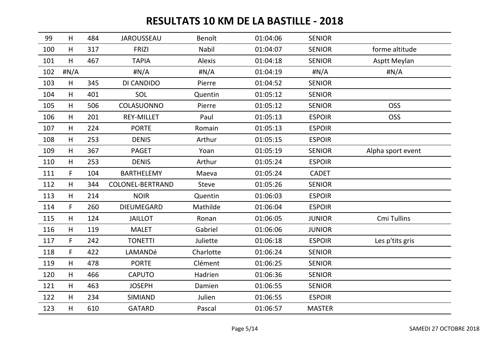| 99  | H     | 484 | <b>JAROUSSEAU</b>       | Benoît        | 01:04:06 | <b>SENIOR</b> |                   |
|-----|-------|-----|-------------------------|---------------|----------|---------------|-------------------|
| 100 | H     | 317 | <b>FRIZI</b>            | Nabil         | 01:04:07 | <b>SENIOR</b> | forme altitude    |
| 101 | H     | 467 | <b>TAPIA</b>            | <b>Alexis</b> | 01:04:18 | <b>SENIOR</b> | Asptt Meylan      |
| 102 | H N/A |     | H N/A                   | H N/A         | 01:04:19 | H N/A         | #N/A              |
| 103 | H     | 345 | DI CANDIDO              | Pierre        | 01:04:52 | <b>SENIOR</b> |                   |
| 104 | H     | 401 | SOL                     | Quentin       | 01:05:12 | <b>SENIOR</b> |                   |
| 105 | H     | 506 | COLASUONNO              | Pierre        | 01:05:12 | <b>SENIOR</b> | <b>OSS</b>        |
| 106 | H     | 201 | <b>REY-MILLET</b>       | Paul          | 01:05:13 | <b>ESPOIR</b> | <b>OSS</b>        |
| 107 | H     | 224 | <b>PORTE</b>            | Romain        | 01:05:13 | <b>ESPOIR</b> |                   |
| 108 | H     | 253 | <b>DENIS</b>            | Arthur        | 01:05:15 | <b>ESPOIR</b> |                   |
| 109 | H     | 367 | <b>PAGET</b>            | Yoan          | 01:05:19 | <b>SENIOR</b> | Alpha sport event |
| 110 | H     | 253 | <b>DENIS</b>            | Arthur        | 01:05:24 | <b>ESPOIR</b> |                   |
| 111 | F     | 104 | <b>BARTHELEMY</b>       | Maeva         | 01:05:24 | <b>CADET</b>  |                   |
| 112 | H     | 344 | <b>COLONEL-BERTRAND</b> | <b>Steve</b>  | 01:05:26 | <b>SENIOR</b> |                   |
| 113 | H     | 214 | <b>NOIR</b>             | Quentin       | 01:06:03 | <b>ESPOIR</b> |                   |
| 114 | F.    | 260 | <b>DIEUMEGARD</b>       | Mathilde      | 01:06:04 | <b>ESPOIR</b> |                   |
| 115 | H     | 124 | <b>JAILLOT</b>          | Ronan         | 01:06:05 | <b>JUNIOR</b> | Cmi Tullins       |
| 116 | H     | 119 | <b>MALET</b>            | Gabriel       | 01:06:06 | <b>JUNIOR</b> |                   |
| 117 | F     | 242 | <b>TONETTI</b>          | Juliette      | 01:06:18 | <b>ESPOIR</b> | Les p'tits gris   |
| 118 | F.    | 422 | LAMANDé                 | Charlotte     | 01:06:24 | <b>SENIOR</b> |                   |
| 119 | H     | 478 | <b>PORTE</b>            | Clément       | 01:06:25 | <b>SENIOR</b> |                   |
| 120 | H     | 466 | <b>CAPUTO</b>           | Hadrien       | 01:06:36 | <b>SENIOR</b> |                   |
| 121 | H     | 463 | <b>JOSEPH</b>           | Damien        | 01:06:55 | <b>SENIOR</b> |                   |
| 122 | H     | 234 | <b>SIMIAND</b>          | Julien        | 01:06:55 | <b>ESPOIR</b> |                   |
| 123 | H     | 610 | <b>GATARD</b>           | Pascal        | 01:06:57 | <b>MASTER</b> |                   |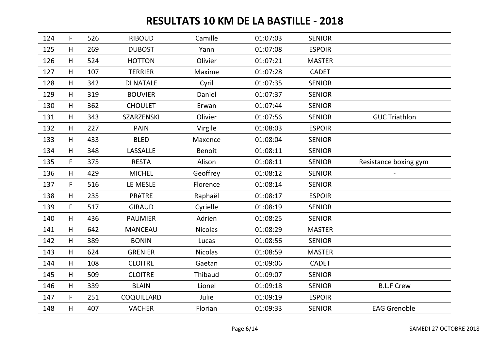| 124 | $\mathsf F$ | 526 | <b>RIBOUD</b>     | Camille        | 01:07:03 | <b>SENIOR</b> |                       |
|-----|-------------|-----|-------------------|----------------|----------|---------------|-----------------------|
| 125 | H           | 269 | <b>DUBOST</b>     | Yann           | 01:07:08 | <b>ESPOIR</b> |                       |
| 126 | H           | 524 | <b>HOTTON</b>     | Olivier        | 01:07:21 | <b>MASTER</b> |                       |
| 127 | H           | 107 | <b>TERRIER</b>    | Maxime         | 01:07:28 | <b>CADET</b>  |                       |
| 128 | H           | 342 | <b>DI NATALE</b>  | Cyril          | 01:07:35 | <b>SENIOR</b> |                       |
| 129 | H           | 319 | <b>BOUVIER</b>    | Daniel         | 01:07:37 | <b>SENIOR</b> |                       |
| 130 | H           | 362 | <b>CHOULET</b>    | Erwan          | 01:07:44 | <b>SENIOR</b> |                       |
| 131 | H           | 343 | <b>SZARZENSKI</b> | Olivier        | 01:07:56 | <b>SENIOR</b> | <b>GUC Triathlon</b>  |
| 132 | H           | 227 | <b>PAIN</b>       | Virgile        | 01:08:03 | <b>ESPOIR</b> |                       |
| 133 | H           | 433 | <b>BLED</b>       | Maxence        | 01:08:04 | <b>SENIOR</b> |                       |
| 134 | H           | 348 | LASSALLE          | <b>Benoit</b>  | 01:08:11 | <b>SENIOR</b> |                       |
| 135 | $\mathsf F$ | 375 | <b>RESTA</b>      | Alison         | 01:08:11 | <b>SENIOR</b> | Resistance boxing gym |
| 136 | H           | 429 | <b>MICHEL</b>     | Geoffrey       | 01:08:12 | <b>SENIOR</b> |                       |
| 137 | $\mathsf F$ | 516 | LE MESLE          | Florence       | 01:08:14 | <b>SENIOR</b> |                       |
| 138 | H           | 235 | <b>PRÊTRE</b>     | Raphaël        | 01:08:17 | <b>ESPOIR</b> |                       |
| 139 | F           | 517 | <b>GIRAUD</b>     | Cyrielle       | 01:08:19 | <b>SENIOR</b> |                       |
| 140 | H           | 436 | <b>PAUMIER</b>    | Adrien         | 01:08:25 | <b>SENIOR</b> |                       |
| 141 | H           | 642 | <b>MANCEAU</b>    | <b>Nicolas</b> | 01:08:29 | <b>MASTER</b> |                       |
| 142 | H           | 389 | <b>BONIN</b>      | Lucas          | 01:08:56 | <b>SENIOR</b> |                       |
| 143 | H           | 624 | <b>GRENIER</b>    | <b>Nicolas</b> | 01:08:59 | <b>MASTER</b> |                       |
| 144 | H           | 108 | <b>CLOITRE</b>    | Gaetan         | 01:09:06 | <b>CADET</b>  |                       |
| 145 | H           | 509 | <b>CLOITRE</b>    | Thibaud        | 01:09:07 | <b>SENIOR</b> |                       |
| 146 | H           | 339 | <b>BLAIN</b>      | Lionel         | 01:09:18 | <b>SENIOR</b> | <b>B.L.F Crew</b>     |
| 147 | F           | 251 | COQUILLARD        | Julie          | 01:09:19 | <b>ESPOIR</b> |                       |
| 148 | H           | 407 | <b>VACHER</b>     | Florian        | 01:09:33 | <b>SENIOR</b> | <b>EAG Grenoble</b>   |
|     |             |     |                   |                |          |               |                       |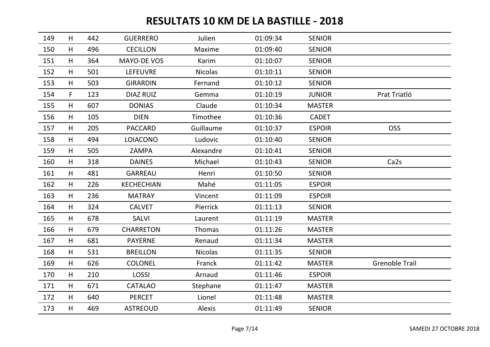| 149 | H | 442 | <b>GUERRERO</b>    | Julien         | 01:09:34 | <b>SENIOR</b> |                       |
|-----|---|-----|--------------------|----------------|----------|---------------|-----------------------|
| 150 | H | 496 | <b>CECILLON</b>    | Maxime         | 01:09:40 | <b>SENIOR</b> |                       |
| 151 | H | 364 | <b>MAYO-DE VOS</b> | Karim          | 01:10:07 | <b>SENIOR</b> |                       |
| 152 | H | 501 | LEFEUVRE           | Nicolas        | 01:10:11 | <b>SENIOR</b> |                       |
| 153 | H | 503 | <b>GIRARDIN</b>    | Fernand        | 01:10:12 | <b>SENIOR</b> |                       |
| 154 | F | 123 | <b>DIAZ RUIZ</b>   | Gemma          | 01:10:19 | <b>JUNIOR</b> | Prat Triatló          |
| 155 | H | 607 | <b>DONIAS</b>      | Claude         | 01:10:34 | <b>MASTER</b> |                       |
| 156 | H | 105 | <b>DIEN</b>        | Timothee       | 01:10:36 | <b>CADET</b>  |                       |
| 157 | H | 205 | <b>PACCARD</b>     | Guillaume      | 01:10:37 | <b>ESPOIR</b> | <b>OSS</b>            |
| 158 | H | 494 | <b>LOIACONO</b>    | Ludovic        | 01:10:40 | <b>SENIOR</b> |                       |
| 159 | H | 505 | ZAMPA              | Alexandre      | 01:10:41 | <b>SENIOR</b> |                       |
| 160 | H | 318 | <b>DAINES</b>      | Michael        | 01:10:43 | <b>SENIOR</b> | Ca <sub>2s</sub>      |
| 161 | H | 481 | <b>GARREAU</b>     | Henri          | 01:10:50 | <b>SENIOR</b> |                       |
| 162 | H | 226 | <b>KECHECHIAN</b>  | Mahé           | 01:11:05 | <b>ESPOIR</b> |                       |
| 163 | H | 236 | <b>MATRAY</b>      | Vincent        | 01:11:09 | <b>ESPOIR</b> |                       |
| 164 | H | 324 | <b>CALVET</b>      | Pierrick       | 01:11:13 | <b>SENIOR</b> |                       |
| 165 | H | 678 | SALVI              | Laurent        | 01:11:19 | <b>MASTER</b> |                       |
| 166 | H | 679 | <b>CHARRETON</b>   | Thomas         | 01:11:26 | <b>MASTER</b> |                       |
| 167 | H | 681 | <b>PAYERNE</b>     | Renaud         | 01:11:34 | <b>MASTER</b> |                       |
| 168 | H | 531 | <b>BREILLON</b>    | <b>Nicolas</b> | 01:11:35 | <b>SENIOR</b> |                       |
| 169 | H | 626 | <b>COLONEL</b>     | Franck         | 01:11:42 | <b>MASTER</b> | <b>Grenoble Trail</b> |
| 170 | H | 210 | <b>LOSSI</b>       | Arnaud         | 01:11:46 | <b>ESPOIR</b> |                       |
| 171 | H | 671 | <b>CATALAO</b>     | Stephane       | 01:11:47 | <b>MASTER</b> |                       |
| 172 | H | 640 | <b>PERCET</b>      | Lionel         | 01:11:48 | <b>MASTER</b> |                       |
| 173 | H | 469 | <b>ASTREOUD</b>    | <b>Alexis</b>  | 01:11:49 | <b>SENIOR</b> |                       |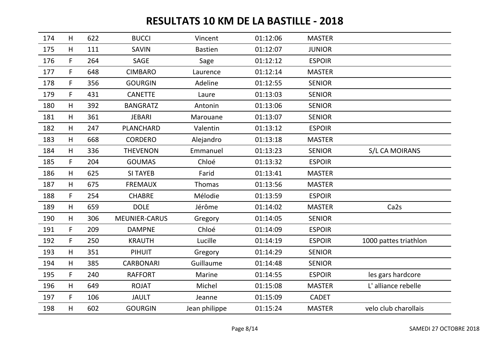| 174 | H           | 622 | <b>BUCCI</b>         | Vincent        | 01:12:06 | <b>MASTER</b> |                       |
|-----|-------------|-----|----------------------|----------------|----------|---------------|-----------------------|
| 175 | H           | 111 | <b>SAVIN</b>         | <b>Bastien</b> | 01:12:07 | <b>JUNIOR</b> |                       |
| 176 | $\mathsf F$ | 264 | SAGE                 | Sage           | 01:12:12 | <b>ESPOIR</b> |                       |
| 177 | $\mathsf F$ | 648 | <b>CIMBARO</b>       | Laurence       | 01:12:14 | <b>MASTER</b> |                       |
| 178 | $\mathsf F$ | 356 | <b>GOURGIN</b>       | Adeline        | 01:12:55 | <b>SENIOR</b> |                       |
| 179 | F           | 431 | <b>CANETTE</b>       | Laure          | 01:13:03 | <b>SENIOR</b> |                       |
| 180 | H           | 392 | <b>BANGRATZ</b>      | Antonin        | 01:13:06 | <b>SENIOR</b> |                       |
| 181 | H           | 361 | <b>JEBARI</b>        | Marouane       | 01:13:07 | <b>SENIOR</b> |                       |
| 182 | H           | 247 | <b>PLANCHARD</b>     | Valentin       | 01:13:12 | <b>ESPOIR</b> |                       |
| 183 | H           | 668 | <b>CORDERO</b>       | Alejandro      | 01:13:18 | <b>MASTER</b> |                       |
| 184 | H           | 336 | <b>THEVENON</b>      | Emmanuel       | 01:13:23 | <b>SENIOR</b> | S/L CA MOIRANS        |
| 185 | $\mathsf F$ | 204 | <b>GOUMAS</b>        | Chloé          | 01:13:32 | <b>ESPOIR</b> |                       |
| 186 | H           | 625 | <b>SI TAYEB</b>      | Farid          | 01:13:41 | <b>MASTER</b> |                       |
| 187 | H           | 675 | <b>FREMAUX</b>       | Thomas         | 01:13:56 | <b>MASTER</b> |                       |
| 188 | F           | 254 | <b>CHABRE</b>        | Mélodie        | 01:13:59 | <b>ESPOIR</b> |                       |
| 189 | H           | 659 | <b>DOLE</b>          | Jérôme         | 01:14:02 | <b>MASTER</b> | Ca <sub>2s</sub>      |
| 190 | H           | 306 | <b>MEUNIER-CARUS</b> | Gregory        | 01:14:05 | <b>SENIOR</b> |                       |
| 191 | F           | 209 | <b>DAMPNE</b>        | Chloé          | 01:14:09 | <b>ESPOIR</b> |                       |
| 192 | F           | 250 | <b>KRAUTH</b>        | Lucille        | 01:14:19 | <b>ESPOIR</b> | 1000 pattes triathlon |
| 193 | H           | 351 | <b>PIHUIT</b>        | Gregory        | 01:14:29 | <b>SENIOR</b> |                       |
| 194 | H           | 385 | <b>CARBONARI</b>     | Guillaume      | 01:14:48 | <b>SENIOR</b> |                       |
| 195 | F           | 240 | <b>RAFFORT</b>       | Marine         | 01:14:55 | <b>ESPOIR</b> | les gars hardcore     |
| 196 | H           | 649 | <b>ROJAT</b>         | Michel         | 01:15:08 | <b>MASTER</b> | L'alliance rebelle    |
| 197 | $\mathsf F$ | 106 | <b>JAULT</b>         | Jeanne         | 01:15:09 | <b>CADET</b>  |                       |
| 198 | H           | 602 | <b>GOURGIN</b>       | Jean philippe  | 01:15:24 | <b>MASTER</b> | velo club charollais  |
|     |             |     |                      |                |          |               |                       |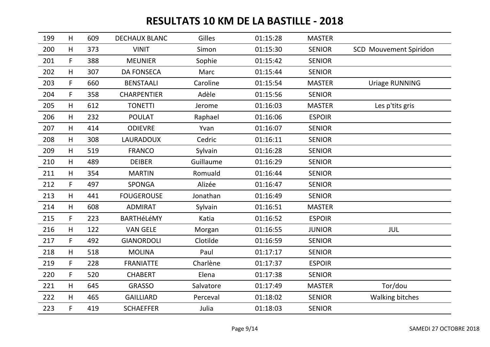| 199 | H            | 609 | <b>DECHAUX BLANC</b> | Gilles    | 01:15:28 | <b>MASTER</b> |                               |
|-----|--------------|-----|----------------------|-----------|----------|---------------|-------------------------------|
| 200 | H            | 373 | <b>VINIT</b>         | Simon     | 01:15:30 | <b>SENIOR</b> | <b>SCD Mouvement Spiridon</b> |
| 201 | $\mathsf{F}$ | 388 | <b>MEUNIER</b>       | Sophie    | 01:15:42 | <b>SENIOR</b> |                               |
| 202 | H            | 307 | <b>DA FONSECA</b>    | Marc      | 01:15:44 | <b>SENIOR</b> |                               |
| 203 | F.           | 660 | <b>BENSTAALI</b>     | Caroline  | 01:15:54 | <b>MASTER</b> | <b>Uriage RUNNING</b>         |
| 204 | $\mathsf F$  | 358 | <b>CHARPENTIER</b>   | Adèle     | 01:15:56 | <b>SENIOR</b> |                               |
| 205 | H            | 612 | <b>TONETTI</b>       | Jerome    | 01:16:03 | <b>MASTER</b> | Les p'tits gris               |
| 206 | H            | 232 | <b>POULAT</b>        | Raphael   | 01:16:06 | <b>ESPOIR</b> |                               |
| 207 | H            | 414 | <b>ODIEVRE</b>       | Yvan      | 01:16:07 | <b>SENIOR</b> |                               |
| 208 | H            | 308 | <b>LAURADOUX</b>     | Cedric    | 01:16:11 | <b>SENIOR</b> |                               |
| 209 | H            | 519 | <b>FRANCO</b>        | Sylvain   | 01:16:28 | <b>SENIOR</b> |                               |
| 210 | H            | 489 | <b>DEIBER</b>        | Guillaume | 01:16:29 | <b>SENIOR</b> |                               |
| 211 | H            | 354 | <b>MARTIN</b>        | Romuald   | 01:16:44 | <b>SENIOR</b> |                               |
| 212 | F.           | 497 | <b>SPONGA</b>        | Alizée    | 01:16:47 | <b>SENIOR</b> |                               |
| 213 | H            | 441 | <b>FOUGEROUSE</b>    | Jonathan  | 01:16:49 | <b>SENIOR</b> |                               |
| 214 | H            | 608 | <b>ADMIRAT</b>       | Sylvain   | 01:16:51 | <b>MASTER</b> |                               |
| 215 | F.           | 223 | BARTHéLéMY           | Katia     | 01:16:52 | <b>ESPOIR</b> |                               |
| 216 | H            | 122 | <b>VAN GELE</b>      | Morgan    | 01:16:55 | <b>JUNIOR</b> | JUL                           |
| 217 | F.           | 492 | <b>GIANORDOLI</b>    | Clotilde  | 01:16:59 | <b>SENIOR</b> |                               |
| 218 | H            | 518 | <b>MOLINA</b>        | Paul      | 01:17:17 | <b>SENIOR</b> |                               |
| 219 | F            | 228 | <b>FRANIATTE</b>     | Charlène  | 01:17:37 | <b>ESPOIR</b> |                               |
| 220 | F            | 520 | <b>CHABERT</b>       | Elena     | 01:17:38 | <b>SENIOR</b> |                               |
| 221 | H            | 645 | <b>GRASSO</b>        | Salvatore | 01:17:49 | <b>MASTER</b> | Tor/dou                       |
| 222 | H            | 465 | <b>GAILLIARD</b>     | Perceval  | 01:18:02 | <b>SENIOR</b> | <b>Walking bitches</b>        |
| 223 | F            | 419 | <b>SCHAEFFER</b>     | Julia     | 01:18:03 | <b>SENIOR</b> |                               |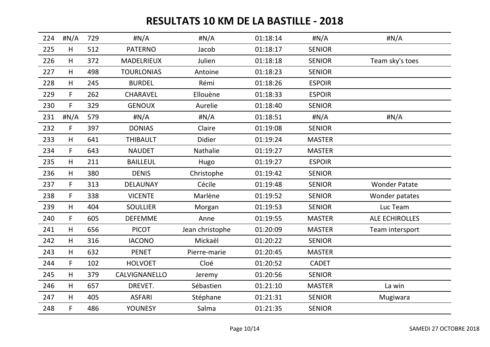| 224 | $\sharp N/A$ | 729 | H N/A             | #N/A            | 01:18:14 | #N/A          | $\sharp N/A$          |
|-----|--------------|-----|-------------------|-----------------|----------|---------------|-----------------------|
| 225 | H            | 512 | <b>PATERNO</b>    | Jacob           | 01:18:17 | <b>SENIOR</b> |                       |
| 226 | H            | 372 | MADELRIEUX        | Julien          | 01:18:18 | <b>SENIOR</b> | Team sky's toes       |
| 227 | H            | 498 | <b>TOURLONIAS</b> | Antoine         | 01:18:23 | <b>SENIOR</b> |                       |
| 228 | H            | 245 | <b>BURDEL</b>     | Rémi            | 01:18:26 | <b>ESPOIR</b> |                       |
| 229 | $\mathsf{F}$ | 262 | CHARAVEL          | Ellouène        | 01:18:33 | <b>ESPOIR</b> |                       |
| 230 | F            | 329 | <b>GENOUX</b>     | Aurelie         | 01:18:40 | <b>SENIOR</b> |                       |
| 231 | H N/A        | 579 | #N/A              | H N/A           | 01:18:51 | H N/A         | $\sharp N/A$          |
| 232 | F            | 397 | <b>DONIAS</b>     | Claire          | 01:19:08 | <b>SENIOR</b> |                       |
| 233 | H            | 641 | <b>THIBAULT</b>   | Didier          | 01:19:24 | <b>MASTER</b> |                       |
| 234 | F.           | 643 | <b>NAUDET</b>     | Nathalie        | 01:19:27 | <b>MASTER</b> |                       |
| 235 | H            | 211 | <b>BAILLEUL</b>   | Hugo            | 01:19:27 | <b>ESPOIR</b> |                       |
| 236 | H            | 380 | <b>DENIS</b>      | Christophe      | 01:19:42 | <b>SENIOR</b> |                       |
| 237 | F.           | 313 | <b>DELAUNAY</b>   | Cécile          | 01:19:48 | <b>SENIOR</b> | <b>Wonder Patate</b>  |
| 238 | F            | 338 | <b>VICENTE</b>    | Marlène         | 01:19:52 | <b>SENIOR</b> | Wonder patates        |
| 239 | H            | 404 | <b>SOULLIER</b>   | Morgan          | 01:19:53 | <b>SENIOR</b> | Luc Team              |
| 240 | F            | 605 | <b>DEFEMME</b>    | Anne            | 01:19:55 | <b>MASTER</b> | <b>ALE ECHIROLLES</b> |
| 241 | H            | 656 | <b>PICOT</b>      | Jean christophe | 01:20:09 | <b>MASTER</b> | Team intersport       |
| 242 | H            | 316 | <b>IACONO</b>     | Mickaël         | 01:20:22 | <b>SENIOR</b> |                       |
| 243 | H            | 632 | <b>PENET</b>      | Pierre-marie    | 01:20:45 | <b>MASTER</b> |                       |
| 244 | F            | 102 | <b>HOLVOET</b>    | Cloé            | 01:20:52 | <b>CADET</b>  |                       |
| 245 | H            | 379 | CALVIGNANELLO     | Jeremy          | 01:20:56 | <b>SENIOR</b> |                       |
| 246 | H            | 657 | DREVET.           | Sébastien       | 01:21:10 | <b>MASTER</b> | La win                |
| 247 | H            | 405 | <b>ASFARI</b>     | Stéphane        | 01:21:31 | <b>SENIOR</b> | Mugiwara              |
| 248 | F            | 486 | <b>YOUNESY</b>    | Salma           | 01:21:35 | <b>SENIOR</b> |                       |
|     |              |     |                   |                 |          |               |                       |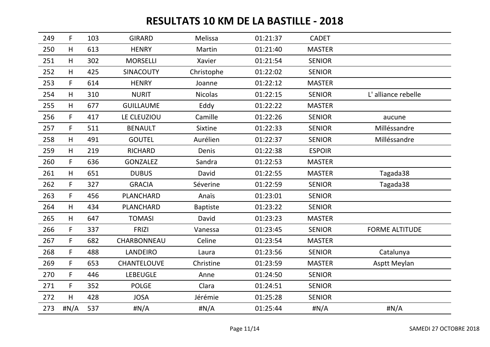| 249 | $\mathsf F$ | 103 | <b>GIRARD</b>    | Melissa         | 01:21:37 | <b>CADET</b>  |                       |
|-----|-------------|-----|------------------|-----------------|----------|---------------|-----------------------|
| 250 | H           | 613 | <b>HENRY</b>     | Martin          | 01:21:40 | <b>MASTER</b> |                       |
| 251 | H           | 302 | <b>MORSELLI</b>  | Xavier          | 01:21:54 | <b>SENIOR</b> |                       |
| 252 | H           | 425 | <b>SINACOUTY</b> | Christophe      | 01:22:02 | <b>SENIOR</b> |                       |
| 253 | $\mathsf F$ | 614 | <b>HENRY</b>     | Joanne          | 01:22:12 | <b>MASTER</b> |                       |
| 254 | H           | 310 | <b>NURIT</b>     | <b>Nicolas</b>  | 01:22:15 | <b>SENIOR</b> | L'alliance rebelle    |
| 255 | H           | 677 | <b>GUILLAUME</b> | Eddy            | 01:22:22 | <b>MASTER</b> |                       |
| 256 | $\mathsf F$ | 417 | LE CLEUZIOU      | Camille         | 01:22:26 | <b>SENIOR</b> | aucune                |
| 257 | F           | 511 | <b>BENAULT</b>   | Sixtine         | 01:22:33 | <b>SENIOR</b> | Milléssandre          |
| 258 | H           | 491 | <b>GOUTEL</b>    | Aurélien        | 01:22:37 | <b>SENIOR</b> | Milléssandre          |
| 259 | H           | 219 | <b>RICHARD</b>   | Denis           | 01:22:38 | <b>ESPOIR</b> |                       |
| 260 | $\mathsf F$ | 636 | <b>GONZALEZ</b>  | Sandra          | 01:22:53 | <b>MASTER</b> |                       |
| 261 | H           | 651 | <b>DUBUS</b>     | David           | 01:22:55 | <b>MASTER</b> | Tagada38              |
| 262 | F           | 327 | <b>GRACIA</b>    | Séverine        | 01:22:59 | <b>SENIOR</b> | Tagada38              |
| 263 | $\mathsf F$ | 456 | <b>PLANCHARD</b> | Anaïs           | 01:23:01 | <b>SENIOR</b> |                       |
| 264 | H           | 434 | <b>PLANCHARD</b> | <b>Baptiste</b> | 01:23:22 | <b>SENIOR</b> |                       |
| 265 | H           | 647 | <b>TOMASI</b>    | David           | 01:23:23 | <b>MASTER</b> |                       |
| 266 | F           | 337 | <b>FRIZI</b>     | Vanessa         | 01:23:45 | <b>SENIOR</b> | <b>FORME ALTITUDE</b> |
| 267 | F           | 682 | CHARBONNEAU      | Celine          | 01:23:54 | <b>MASTER</b> |                       |
| 268 | F.          | 488 | <b>LANDEIRO</b>  | Laura           | 01:23:56 | <b>SENIOR</b> | Catalunya             |
| 269 | F           | 653 | CHANTELOUVE      | Christine       | 01:23:59 | <b>MASTER</b> | Asptt Meylan          |
| 270 | $\mathsf F$ | 446 | <b>LEBEUGLE</b>  | Anne            | 01:24:50 | <b>SENIOR</b> |                       |
| 271 | F           | 352 | <b>POLGE</b>     | Clara           | 01:24:51 | <b>SENIOR</b> |                       |
| 272 | H           | 428 | <b>JOSA</b>      | Jérémie         | 01:25:28 | <b>SENIOR</b> |                       |
| 273 | H N/A       | 537 | #N/A             | $\sharp N/A$    | 01:25:44 | H N/A         | #N/A                  |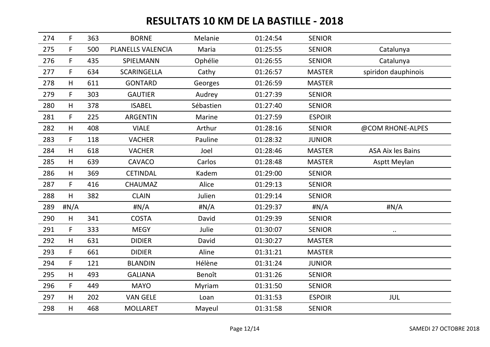| 274 | $\mathsf F$ | 363 | <b>BORNE</b>       | Melanie   | 01:24:54 | <b>SENIOR</b> |                          |
|-----|-------------|-----|--------------------|-----------|----------|---------------|--------------------------|
| 275 | $\mathsf F$ | 500 | PLANELLS VALENCIA  | Maria     | 01:25:55 | <b>SENIOR</b> | Catalunya                |
| 276 | $\mathsf F$ | 435 | SPIELMANN          | Ophélie   | 01:26:55 | <b>SENIOR</b> | Catalunya                |
| 277 | $\mathsf F$ | 634 | <b>SCARINGELLA</b> | Cathy     | 01:26:57 | <b>MASTER</b> | spiridon dauphinois      |
| 278 | H           | 611 | <b>GONTARD</b>     | Georges   | 01:26:59 | <b>MASTER</b> |                          |
| 279 | $\mathsf F$ | 303 | <b>GAUTIER</b>     | Audrey    | 01:27:39 | <b>SENIOR</b> |                          |
| 280 | H           | 378 | <b>ISABEL</b>      | Sébastien | 01:27:40 | <b>SENIOR</b> |                          |
| 281 | $\mathsf F$ | 225 | <b>ARGENTIN</b>    | Marine    | 01:27:59 | <b>ESPOIR</b> |                          |
| 282 | H           | 408 | <b>VIALE</b>       | Arthur    | 01:28:16 | <b>SENIOR</b> | @COM RHONE-ALPES         |
| 283 | F           | 118 | <b>VACHER</b>      | Pauline   | 01:28:32 | <b>JUNIOR</b> |                          |
| 284 | H           | 618 | <b>VACHER</b>      | Joel      | 01:28:46 | <b>MASTER</b> | <b>ASA Aix les Bains</b> |
| 285 | H           | 639 | CAVACO             | Carlos    | 01:28:48 | <b>MASTER</b> | Asptt Meylan             |
| 286 | H           | 369 | <b>CETINDAL</b>    | Kadem     | 01:29:00 | <b>SENIOR</b> |                          |
| 287 | F.          | 416 | <b>CHAUMAZ</b>     | Alice     | 01:29:13 | <b>SENIOR</b> |                          |
| 288 | H           | 382 | <b>CLAIN</b>       | Julien    | 01:29:14 | <b>SENIOR</b> |                          |
| 289 | H N/A       |     | H N/A              | H N/A     | 01:29:37 | $\sharp N/A$  | $\sharp N/A$             |
| 290 | H           | 341 | <b>COSTA</b>       | David     | 01:29:39 | <b>SENIOR</b> |                          |
| 291 | $\mathsf F$ | 333 | <b>MEGY</b>        | Julie     | 01:30:07 | <b>SENIOR</b> | $\cdot$ .                |
| 292 | H           | 631 | <b>DIDIER</b>      | David     | 01:30:27 | <b>MASTER</b> |                          |
| 293 | F           | 661 | <b>DIDIER</b>      | Aline     | 01:31:21 | <b>MASTER</b> |                          |
| 294 | F           | 121 | <b>BLANDIN</b>     | Hélène    | 01:31:24 | <b>JUNIOR</b> |                          |
| 295 | H           | 493 | <b>GALIANA</b>     | Benoît    | 01:31:26 | <b>SENIOR</b> |                          |
| 296 | F           | 449 | <b>MAYO</b>        | Myriam    | 01:31:50 | <b>SENIOR</b> |                          |
| 297 | H           | 202 | <b>VAN GELE</b>    | Loan      | 01:31:53 | <b>ESPOIR</b> | <b>JUL</b>               |
| 298 | H           | 468 | <b>MOLLARET</b>    | Mayeul    | 01:31:58 | <b>SENIOR</b> |                          |
|     |             |     |                    |           |          |               |                          |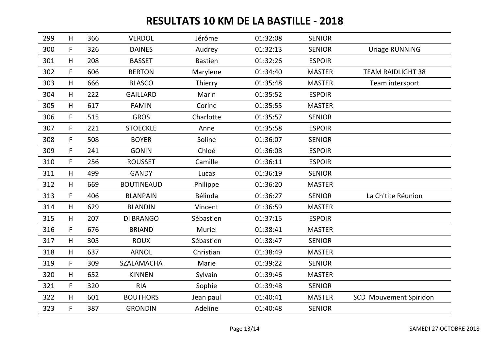| 299 | H            | 366 | <b>VERDOL</b>     | Jérôme         | 01:32:08 | <b>SENIOR</b> |                               |
|-----|--------------|-----|-------------------|----------------|----------|---------------|-------------------------------|
| 300 | F            | 326 | <b>DAINES</b>     | Audrey         | 01:32:13 | <b>SENIOR</b> | <b>Uriage RUNNING</b>         |
| 301 | H            | 208 | <b>BASSET</b>     | <b>Bastien</b> | 01:32:26 | <b>ESPOIR</b> |                               |
| 302 | $\mathsf{F}$ | 606 | <b>BERTON</b>     | Marylene       | 01:34:40 | <b>MASTER</b> | <b>TEAM RAIDLIGHT 38</b>      |
| 303 | H            | 666 | <b>BLASCO</b>     | Thierry        | 01:35:48 | <b>MASTER</b> | Team intersport               |
| 304 | H            | 222 | <b>GAILLARD</b>   | Marin          | 01:35:52 | <b>ESPOIR</b> |                               |
| 305 | H            | 617 | <b>FAMIN</b>      | Corine         | 01:35:55 | <b>MASTER</b> |                               |
| 306 | $\mathsf{F}$ | 515 | <b>GROS</b>       | Charlotte      | 01:35:57 | <b>SENIOR</b> |                               |
| 307 | F            | 221 | <b>STOECKLE</b>   | Anne           | 01:35:58 | <b>ESPOIR</b> |                               |
| 308 | $\mathsf F$  | 508 | <b>BOYER</b>      | Soline         | 01:36:07 | <b>SENIOR</b> |                               |
| 309 | F            | 241 | <b>GONIN</b>      | Chloé          | 01:36:08 | <b>ESPOIR</b> |                               |
| 310 | F            | 256 | <b>ROUSSET</b>    | Camille        | 01:36:11 | <b>ESPOIR</b> |                               |
| 311 | H            | 499 | <b>GANDY</b>      | Lucas          | 01:36:19 | <b>SENIOR</b> |                               |
| 312 | H            | 669 | <b>BOUTINEAUD</b> | Philippe       | 01:36:20 | <b>MASTER</b> |                               |
| 313 | F.           | 406 | <b>BLANPAIN</b>   | Bélinda        | 01:36:27 | <b>SENIOR</b> | La Ch'tite Réunion            |
| 314 | H            | 629 | <b>BLANDIN</b>    | Vincent        | 01:36:59 | <b>MASTER</b> |                               |
| 315 | H            | 207 | <b>DI BRANGO</b>  | Sébastien      | 01:37:15 | <b>ESPOIR</b> |                               |
| 316 | F            | 676 | <b>BRIAND</b>     | Muriel         | 01:38:41 | <b>MASTER</b> |                               |
| 317 | H            | 305 | <b>ROUX</b>       | Sébastien      | 01:38:47 | <b>SENIOR</b> |                               |
| 318 | H            | 637 | <b>ARNOL</b>      | Christian      | 01:38:49 | <b>MASTER</b> |                               |
| 319 | F            | 309 | SZALAMACHA        | Marie          | 01:39:22 | <b>SENIOR</b> |                               |
| 320 | H            | 652 | <b>KINNEN</b>     | Sylvain        | 01:39:46 | <b>MASTER</b> |                               |
| 321 | F            | 320 | <b>RIA</b>        | Sophie         | 01:39:48 | <b>SENIOR</b> |                               |
| 322 | H            | 601 | <b>BOUTHORS</b>   | Jean paul      | 01:40:41 | <b>MASTER</b> | <b>SCD</b> Mouvement Spiridon |
| 323 | F            | 387 | <b>GRONDIN</b>    | Adeline        | 01:40:48 | <b>SENIOR</b> |                               |
|     |              |     |                   |                |          |               |                               |